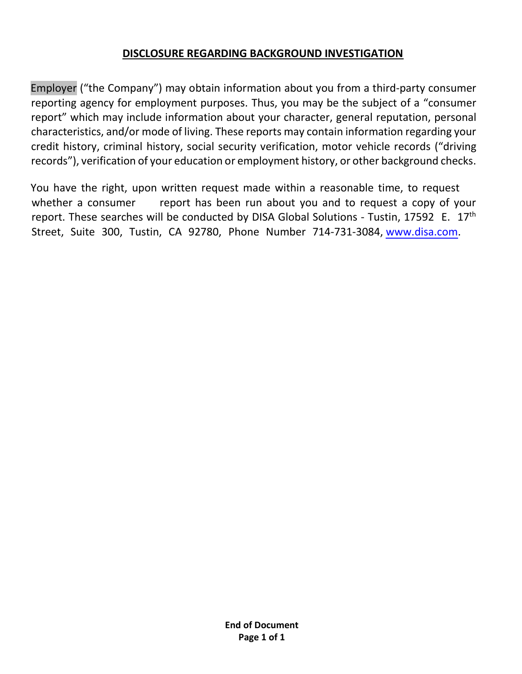## DISCLOSURE REGARDING BACKGROUND INVESTIGATION

Employer ("the Company") may obtain information about you from a third-party consumer reporting agency for employment purposes. Thus, you may be the subject of a "consumer report" which may include information about your character, general reputation, personal characteristics, and/or mode of living. These reports may contain information regarding your credit history, criminal history, social security verification, motor vehicle records ("driving records"), verification of your education or employment history, or other background checks.

You have the right, upon written request made within a reasonable time, to request whether a consumer report has been run about you and to request a copy of your report. These searches will be conducted by DISA Global Solutions - Tustin, 17592 E. 17<sup>th</sup> Street, Suite 300, Tustin, CA 92780, Phone Number 714-731-3084, www.disa.com.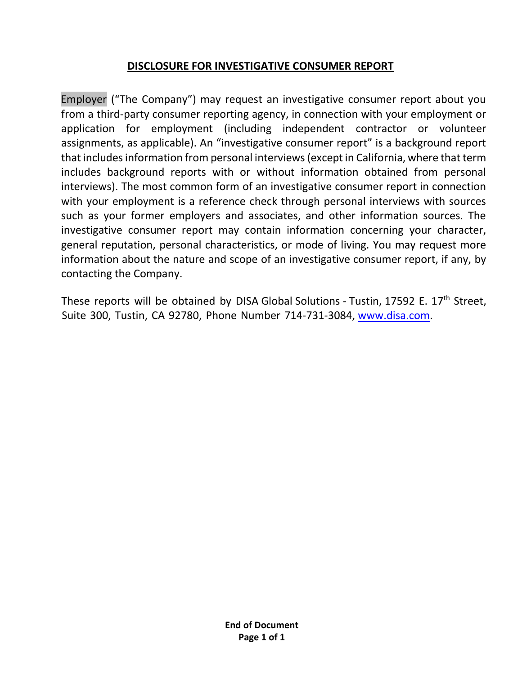## DISCLOSURE FOR INVESTIGATIVE CONSUMER REPORT

Employer ("The Company") may request an investigative consumer report about you from a third-party consumer reporting agency, in connection with your employment or application for employment (including independent contractor or volunteer assignments, as applicable). An "investigative consumer report" is a background report that includes information from personal interviews (except in California, where that term includes background reports with or without information obtained from personal interviews). The most common form of an investigative consumer report in connection with your employment is a reference check through personal interviews with sources such as your former employers and associates, and other information sources. The investigative consumer report may contain information concerning your character, general reputation, personal characteristics, or mode of living. You may request more information about the nature and scope of an investigative consumer report, if any, by contacting the Company.

These reports will be obtained by DISA Global Solutions - Tustin, 17592 E. 17<sup>th</sup> Street, Suite 300, Tustin, CA 92780, Phone Number 714-731-3084, www.disa.com.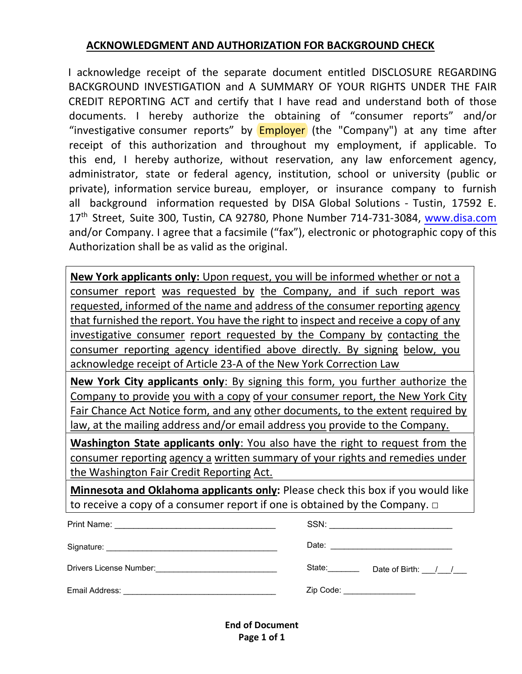## ACKNOWLEDGMENT AND AUTHORIZATION FOR BACKGROUND CHECK

I acknowledge receipt of the separate document entitled DISCLOSURE REGARDING BACKGROUND INVESTIGATION and A SUMMARY OF YOUR RIGHTS UNDER THE FAIR CREDIT REPORTING ACT and certify that I have read and understand both of those documents. I hereby authorize the obtaining of "consumer reports" and/or "investigative consumer reports" by **Employer** (the "Company") at any time after receipt of this authorization and throughout my employment, if applicable. To this end, I hereby authorize, without reservation, any law enforcement agency, administrator, state or federal agency, institution, school or university (public or private), information service bureau, employer, or insurance company to furnish all background information requested by DISA Global Solutions - Tustin, 17592 E. 17<sup>th</sup> Street, Suite 300, Tustin, CA 92780, Phone Number 714-731-3084, www.disa.com and/or Company. I agree that a facsimile ("fax"), electronic or photographic copy of this Authorization shall be as valid as the original.

New York applicants only: Upon request, you will be informed whether or not a consumer report was requested by the Company, and if such report was requested, informed of the name and address of the consumer reporting agency that furnished the report. You have the right to inspect and receive a copy of any investigative consumer report requested by the Company by contacting the consumer reporting agency identified above directly. By signing below, you acknowledge receipt of Article 23-A of the New York Correction Law

New York City applicants only: By signing this form, you further authorize the Company to provide you with a copy of your consumer report, the New York City Fair Chance Act Notice form, and any other documents, to the extent required by law, at the mailing address and/or email address you provide to the Company.

Washington State applicants only: You also have the right to request from the consumer reporting agency a written summary of your rights and remedies under the Washington Fair Credit Reporting Act.

Minnesota and Oklahoma applicants only: Please check this box if you would like to receive a copy of a consumer report if one is obtained by the Company.  $\Box$ 

| Print Name:<br><u> 1980 - Johann Barbara, margaret eta idazlear</u> | SSN:<br><u> 1980 - Jan Barnett, mars et al. (</u> † 1910) |
|---------------------------------------------------------------------|-----------------------------------------------------------|
|                                                                     |                                                           |
| Drivers License Number: _____________________________               | State: <b>State</b><br>Date of Birth: / /                 |
| Email Address: ___                                                  | Zip Code: National Assembly Code:                         |

End of Document Page 1 of 1